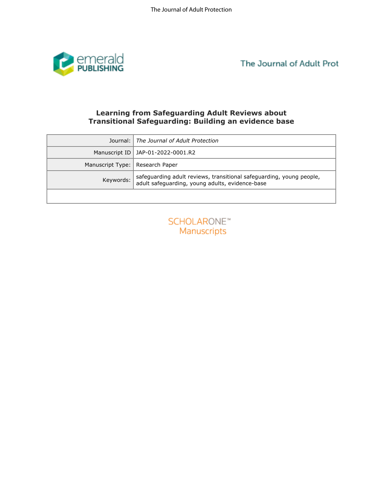

The Journal of Adult Prot

# **Learning from Safeguarding Adult Reviews about Transitional Safeguarding: Building an evidence base**

| <b>Learning from Safeguarding Adult Reviews about</b>       |                                                                                                                         |
|-------------------------------------------------------------|-------------------------------------------------------------------------------------------------------------------------|
| <b>Transitional Safeguarding: Building an evidence base</b> |                                                                                                                         |
| Journal:                                                    | The Journal of Adult Protection                                                                                         |
| Manuscript ID                                               | JAP-01-2022-0001.R2                                                                                                     |
| Manuscript Type:                                            | Research Paper                                                                                                          |
| Keywords:                                                   | safeguarding adult reviews, transitional safeguarding, young people,<br>adult safeguarding, young adults, evidence-base |
|                                                             |                                                                                                                         |
|                                                             |                                                                                                                         |
| <b>SCHOLARONE™</b>                                          |                                                                                                                         |
| Manuscripts                                                 |                                                                                                                         |
|                                                             |                                                                                                                         |
|                                                             |                                                                                                                         |
|                                                             |                                                                                                                         |
|                                                             |                                                                                                                         |
|                                                             |                                                                                                                         |
|                                                             |                                                                                                                         |
|                                                             |                                                                                                                         |
|                                                             |                                                                                                                         |
|                                                             |                                                                                                                         |
|                                                             |                                                                                                                         |
|                                                             |                                                                                                                         |
|                                                             |                                                                                                                         |
|                                                             |                                                                                                                         |

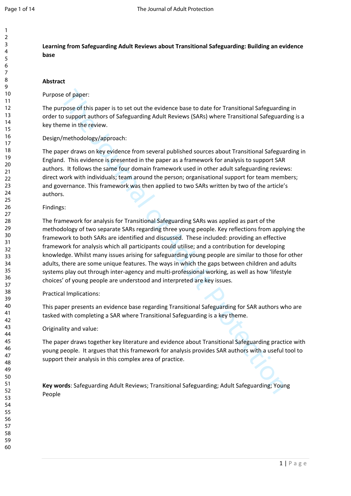**Learning from Safeguarding Adult Reviews about Transitional Safeguarding: Building an evidence base** 

#### **Abstract**

### Purpose of paper:

The purpose of this paper is to set out the evidence base to date for Transitional Safeguarding in order to support authors of Safeguarding Adult Reviews (SARs) where Transitional Safeguarding is a key theme in the review.

#### Design/methodology/approach:

The paper draws on key evidence from several published sources about Transitional Safeguarding in England. This evidence is presented in the paper as a framework for analysis to support SAR authors. It follows the same four domain framework used in other adult safeguarding reviews: direct work with individuals; team around the person; organisational support for team members; and governance. This framework was then applied to two SARs written by two of the article's authors.

#### Findings:

ie of paper:<br>
roose of this paper is to set out the evidence base to date for Transitional Safeguardin<br>
o suppor authors of Safeguarding Adult Reviews (SARs) where Transitional Safeguardin<br>
one in the review.<br>
/methodology The framework for analysis for Transitional Safeguarding SARs was applied as part of the methodology of two separate SARs regarding three young people. Key reflections from applying the framework to both SARs are identified and discussed. These included: providing an effective framework for analysis which all participants could utilise; and a contribution for developing knowledge. Whilst many issues arising for safeguarding young people are similar to those for other adults, there are some unique features. The ways in which the gaps between children and adults systems play out through inter-agency and multi-professional working, as well as how 'lifestyle choices' of young people are understood and interpreted are key issues.

#### Practical Implications:

This paper presents an evidence base regarding Transitional Safeguarding for SAR authors who are tasked with completing a SAR where Transitional Safeguarding is a key theme.

#### Originality and value:

The paper draws together key literature and evidence about Transitional Safeguarding practice with young people. It argues that this framework for analysis provides SAR authors with a useful tool to support their analysis in this complex area of practice.

**Key words**: Safeguarding Adult Reviews; Transitional Safeguarding; Adult Safeguarding; Young People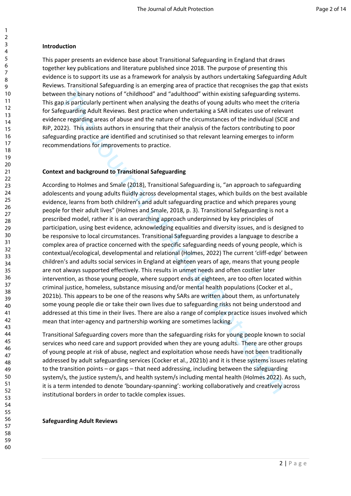## **Introduction**

This paper presents an evidence base about Transitional Safeguarding in England that draws together key publications and literature published since 2018. The purpose of presenting this evidence is to support its use as a framework for analysis by authors undertaking Safeguarding Adult Reviews. Transitional Safeguarding is an emerging area of practice that recognises the gap that exists between the binary notions of "childhood" and "adulthood" within existing safeguarding systems. This gap is particularly pertinent when analysing the deaths of young adults who meet the criteria for Safeguarding Adult Reviews. Best practice when undertaking a SAR indicates use of relevant evidence regarding areas of abuse and the nature of the circumstances of the individual (SCIE and RiP, 2022). This assists authors in ensuring that their analysis of the factors contributing to poor safeguarding practice are identified and scrutinised so that relevant learning emerges to inform recommendations for improvements to practice.

## **Context and background to Transitional Safeguarding**

en the binary notions of "childhood" and "adulthood" within existing safeguarding system is particularly pertinent when analysing the deaths of young adults who meet the crose paradical protest in the analysing the deaths According to Holmes and Smale (2018), Transitional Safeguarding is, "an approach to safeguarding adolescents and young adults fluidly across developmental stages, which builds on the best available evidence, learns from both children's and adult safeguarding practice and which prepares young people for their adult lives" (Holmes and Smale, 2018, p. 3). Transitional Safeguarding is not a prescribed model, rather it is an overarching approach underpinned by key principles of participation, using best evidence, acknowledging equalities and diversity issues, and is designed to be responsive to local circumstances. Transitional Safeguarding provides a language to describe a complex area of practice concerned with the specific safeguarding needs of young people, which is contextual/ecological, developmental and relational (Holmes, 2022) The current 'cliff-edge' between children's and adults social services in England at eighteen years of age, means that young people are not always supported effectively. This results in unmet needs and often costlier later intervention, as those young people, where support ends at eighteen, are too often located within criminal justice, homeless, substance misusing and/or mental health populations (Cocker et al., 2021b). This appears to be one of the reasons why SARs are written about them, as unfortunately some young people die or take their own lives due to safeguarding risks not being understood and addressed at this time in their lives. There are also a range of complex practice issues involved which mean that inter-agency and partnership working are sometimes lacking.

Transitional Safeguarding covers more than the safeguarding risks for young people known to social services who need care and support provided when they are young adults. There are other groups of young people at risk of abuse, neglect and exploitation whose needs have not been traditionally addressed by adult safeguarding services (Cocker et al., 2021b) and it is these systems issues relating to the transition points – or gaps – that need addressing, including between the safeguarding system/s, the justice system/s, and health system/s including mental health (Holmes 2022). As such, it is a term intended to denote 'boundary-spanning': working collaboratively and creatively across institutional borders in order to tackle complex issues.

### **Safeguarding Adult Reviews**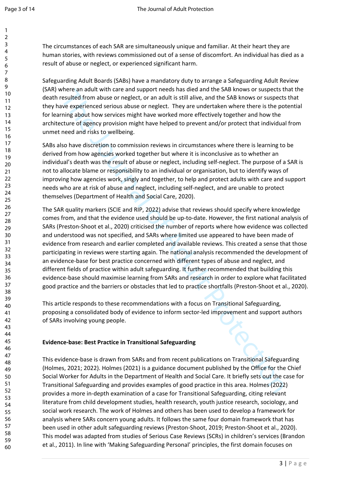The circumstances of each SAR are simultaneously unique and familiar. At their heart they are human stories, with reviews commissioned out of a sense of discomfort. An individual has died as a result of abuse or neglect, or experienced significant harm.

Safeguarding Adult Boards (SABs) have a mandatory duty to arrange a Safeguarding Adult Review (SAR) where an adult with care and support needs has died and the SAB knows or suspects that the death resulted from abuse or neglect, or an adult is still alive, and the SAB knows or suspects that they have experienced serious abuse or neglect. They are undertaken where there is the potential for learning about how services might have worked more effectively together and how the architecture of agency provision might have helped to prevent and/or protect that individual from unmet need and risks to wellbeing.

SABs also have discretion to commission reviews in circumstances where there is learning to be derived from how agencies worked together but where it is inconclusive as to whether an individual's death was the result of abuse or neglect, including self-neglect. The purpose of a SAR is not to allocate blame or responsibility to an individual or organisation, but to identify ways of improving how agencies work, singly and together, to help and protect adults with care and support needs who are at risk of abuse and neglect, including self-neglect, and are unable to protect themselves (Department of Health and Social Care, 2020).

Where an aadit with care and support meeson as olered with different the seal whows or suspected<br>tersulted from abuse or neglect, or an adult is still alive, and the SAB knows or suspects<br>we experienced serious abuse or ne The SAR quality markers (SCIE and RIP, 2022) advise that reviews should specify where knowledge comes from, and that the evidence used should be up-to-date. However, the first national analysis of SARs (Preston-Shoot et al., 2020) criticised the number of reports where how evidence was collected and understood was not specified, and SARs where limited use appeared to have been made of evidence from research and earlier completed and available reviews. This created a sense that those participating in reviews were starting again. The national analysis recommended the development of an evidence-base for best practice concerned with different types of abuse and neglect, and different fields of practice within adult safeguarding. It further recommended that building this evidence-base should maximise learning from SARs and research in order to explore what facilitated good practice and the barriers or obstacles that led to practice shortfalls (Preston-Shoot et al., 2020).

This article responds to these recommendations with a focus on Transitional Safeguarding, proposing a consolidated body of evidence to inform sector-led improvement and support authors of SARs involving young people.

## **Evidence-base: Best Practice in Transitional Safeguarding**

This evidence-base is drawn from SARs and from recent publications on Transitional Safeguarding (Holmes, 2021; 2022). Holmes (2021) is a guidance document published by the Office for the Chief Social Worker for Adults in the Department of Health and Social Care. It briefly sets out the case for Transitional Safeguarding and provides examples of good practice in this area. Holmes (2022) provides a more in-depth examination of a case for Transitional Safeguarding, citing relevant literature from child development studies, health research, youth justice research, sociology, and social work research. The work of Holmes and others has been used to develop a framework for analysis where SARs concern young adults. It follows the same four domain framework that has been used in other adult safeguarding reviews (Preston-Shoot, 2019; Preston-Shoot et al., 2020). This model was adapted from studies of Serious Case Reviews (SCRs) in children's services (Brandon et al., 2011). In line with 'Making Safeguarding Personal' principles, the first domain focuses on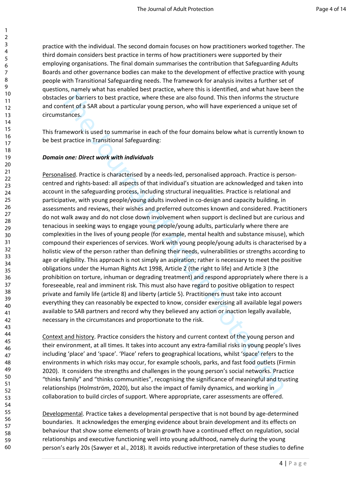practice with the individual. The second domain focuses on how practitioners worked together. The third domain considers best practice in terms of how practitioners were supported by their employing organisations. The final domain summarises the contribution that Safeguarding Adults Boards and other governance bodies can make to the development of effective practice with young people with Transitional Safeguarding needs. The framework for analysis invites a further set of questions, namely what has enabled best practice, where this is identified, and what have been the obstacles or barriers to best practice, where these are also found. This then informs the structure and content of a SAR about a particular young person, who will have experienced a unique set of circumstances.

This framework is used to summarise in each of the four domains below what is currently known to be best practice in Transitional Safeguarding:

### *Domain one: Direct work with individuals*

ons, namely want nas enabled best practice, where then is to locatine, and what have been or bright to more the search of the four strategies of barries to best practice, where these are also fourth. This then informs the Personalised. Practice is characterised by a needs-led, personalised approach. Practice is personcentred and rights-based: all aspects of that individual's situation are acknowledged and taken into account in the safeguarding process, including structural inequalities. Practice is relational and participative, with young people/young adults involved in co-design and capacity building, in assessments and reviews, their wishes and preferred outcomes known and considered. Practitioners do not walk away and do not close down involvement when support is declined but are curious and tenacious in seeking ways to engage young people/young adults, particularly where there are complexities in the lives of young people (for example, mental health and substance misuse), which compound their experiences of services. Work with young people/young adults is characterised by a holistic view of the person rather than defining their needs, vulnerabilities or strengths according to age or eligibility. This approach is not simply an aspiration; rather is necessary to meet the positive obligations under the Human Rights Act 1998, Article 2 (the right to life) and Article 3 (the prohibition on torture, inhuman or degrading treatment) and respond appropriately where there is a foreseeable, real and imminent risk. This must also have regard to positive obligation to respect private and family life (article 8) and liberty (article 5). Practitioners must take into account everything they can reasonably be expected to know, consider exercising all available legal powers available to SAB partners and record why they believed any action or inaction legally available, necessary in the circumstances and proportionate to the risk.

Context and history. Practice considers the history and current context of the young person and their environment, at all times. It takes into account any extra-familial risks in young people's lives including 'place' and 'space'. 'Place' refers to geographical locations, whilst 'space' refers to the environments in which risks may occur, for example schools, parks, and fast food outlets (Firmin 2020). It considers the strengths and challenges in the young person's social networks. Practice "thinks family" and "thinks communities", recognising the significance of meaningful and trusting relationships (Holmström, 2020), but also the impact of family dynamics, and working in collaboration to build circles of support. Where appropriate, carer assessments are offered.

Developmental. Practice takes a developmental perspective that is not bound by age-determined boundaries. It acknowledges the emerging evidence about brain development and its effects on behaviour that show some elements of brain growth have a continued effect on regulation, social relationships and executive functioning well into young adulthood, namely during the young person's early 20s (Sawyer et al., 2018). It avoids reductive interpretation of these studies to define

60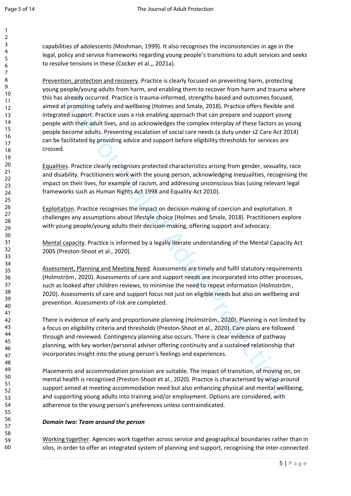capabilities of adolescents (Moshman, 1999). It also recognises the inconsistencies in age in the legal, policy and service frameworks regarding young people's transitions to adult services and seeks to resolve tensions in these (Cocker et al.,, 2021a).

peopley/volung anuats from namn, and enaduling fuent in to recover from namn in octauminal changes and encomes focus<br>a sleredy occurred. Practice is trauma-informed, strengths-based and outcomes focus<br>at promoting safety a Prevention, protection and recovery. Practice is clearly focused on preventing harm, protecting young people/young adults from harm, and enabling them to recover from harm and trauma where this has already occurred. Practice is trauma-informed, strengths-based and outcomes focused, aimed at promoting safety and wellbeing (Holmes and Smale, 2018). Practice offers flexible and integrated support. Practice uses a risk enabling approach that can prepare and support young people with their adult lives, and so acknowledges the complex interplay of these factors as young people become adults. Preventing escalation of social care needs (a duty under s2 Care Act 2014) can be facilitated by providing advice and support before eligibility thresholds for services are crossed.

Equalities. Practice clearly recognises protected characteristics arising from gender, sexuality, race and disability. Practitioners work with the young person, acknowledging inequalities, recognising the impact on their lives, for example of racism, and addressing unconscious bias (using relevant legal frameworks such as Human Rights Act 1998 and Equality Act 2010).

Exploitation. Practice recognises the impact on decision-making of coercion and exploitation. It challenges any assumptions about lifestyle choice (Holmes and Smale, 2018). Practitioners explore with young people/young adults their decision-making, offering support and advocacy.

Mental capacity. Practice is informed by a legally literate understanding of the Mental Capacity Act 2005 (Preston-Shoot et al., 2020).

Assessment, Planning and Meeting Need. Assessments are timely and fulfil statutory requirements (Holmström, 2020). Assessments of care and support needs are incorporated into other processes, such as looked after children reviews, to minimise the need to repeat information (Holmström, 2020). Assessments of care and support focus not just on eligible needs but also on wellbeing and prevention. Assessments of risk are completed.

There is evidence of early and proportionate planning (Holmström, 2020). Planning is not limited by a focus on eligibility criteria and thresholds (Preston-Shoot et al., 2020). Care plans are followed through and reviewed. Contingency planning also occurs. There is clear evidence of pathway planning, with key worker/personal adviser offering continuity and a sustained relationship that incorporates insight into the young person's feelings and experiences.

Placements and accommodation provision are suitable. The impact of transition, of moving on, on mental health is recognised (Preston-Shoot et al., 2020). Practice is characterised by wrap-around support aimed at meeting accommodation need but also enhancing physical and mental wellbeing, and supporting young adults into training and/or employment. Options are considered, with adherence to the young person's preferences unless contraindicated.

## *Domain two: Team around the person*

Working together. Agencies work together across service and geographical boundaries rather than in silos, in order to offer an integrated system of planning and support, recognising the inter-connected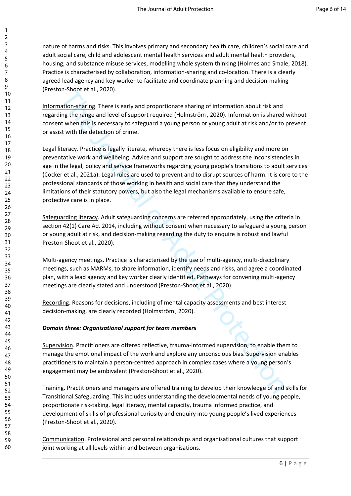nature of harms and risks. This involves primary and secondary health care, children's social care and adult social care, child and adolescent mental health services and adult mental health providers, housing, and substance misuse services, modelling whole system thinking (Holmes and Smale, 2018). Practice is characterised by collaboration, information-sharing and co-location. There is a clearly agreed lead agency and key worker to facilitate and coordinate planning and decision-making (Preston-Shoot et al., 2020).

Information-sharing. There is early and proportionate sharing of information about risk and regarding the range and level of support required (Holmström, 2020). Information is shared without consent when this is necessary to safeguard a young person or young adult at risk and/or to prevent or assist with the detection of crime.

nh-Shoot et al., 2020).<br>The Shoot et al., 2020).<br>The straine and hevel of support required (Holmström, 2020). Information about risk and<br>ing the range and hevel of support required (Holmström, 2020). Information is shared<br> Legal literacy. Practice is legally literate, whereby there is less focus on eligibility and more on preventative work and wellbeing. Advice and support are sought to address the inconsistencies in age in the legal, policy and service frameworks regarding young people's transitions to adult services (Cocker et al., 2021a). Legal rules are used to prevent and to disrupt sources of harm. It is core to the professional standards of those working in health and social care that they understand the limitations of their statutory powers, but also the legal mechanisms available to ensure safe, protective care is in place.

Safeguarding literacy. Adult safeguarding concerns are referred appropriately, using the criteria in section 42(1) Care Act 2014, including without consent when necessary to safeguard a young person or young adult at risk, and decision-making regarding the duty to enquire is robust and lawful Preston-Shoot et al., 2020).

Multi-agency meetings. Practice is characterised by the use of multi-agency, multi-disciplinary meetings, such as MARMs, to share information, identify needs and risks, and agree a coordinated plan, with a lead agency and key worker clearly identified. Pathways for convening multi-agency meetings are clearly stated and understood (Preston-Shoot et al., 2020).

Recording. Reasons for decisions, including of mental capacity assessments and best interest decision-making, are clearly recorded (Holmström, 2020).

## *Domain three: Organisational support for team members*

Supervision. Practitioners are offered reflective, trauma-informed supervision, to enable them to manage the emotional impact of the work and explore any unconscious bias. Supervision enables practitioners to maintain a person-centred approach in complex cases where a young person's engagement may be ambivalent (Preston-Shoot et al., 2020).

Training. Practitioners and managers are offered training to develop their knowledge of and skills for Transitional Safeguarding. This includes understanding the developmental needs of young people, proportionate risk-taking, legal literacy, mental capacity, trauma informed practice, and development of skills of professional curiosity and enquiry into young people's lived experiences (Preston-Shoot et al., 2020).

Communication. Professional and personal relationships and organisational cultures that support joint working at all levels within and between organisations.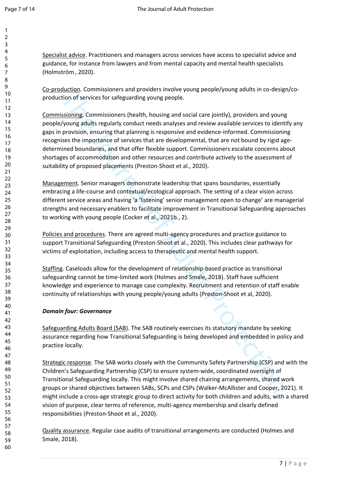Specialist advice. Practitioners and managers across services have access to specialist advice and guidance, for instance from lawyers and from mental capacity and mental health specialists (Holmström, 2020).

Co-production. Commissioners and providers involve young people/young adults in co-design/coproduction of services for safeguarding young people.

oution, commissioners and providers involve young people/young adults in co-oesig<br>
action of services for safeguarding young people.<br>
Sissioning. Commissioners (health, housing and social care jointly), providers and young Commissioning. Commissioners (health, housing and social care jointly), providers and young people/young adults regularly conduct needs analyses and review available services to identify any gaps in provision, ensuring that planning is responsive and evidence-informed. Commissioning recognises the importance of services that are developmental, that are not bound by rigid agedetermined boundaries, and that offer flexible support. Commissioners escalate concerns about shortages of accommodation and other resources and contribute actively to the assessment of suitability of proposed placements (Preston-Shoot et al., 2020).

Management. Senior managers demonstrate leadership that spans boundaries, essentially embracing a life-course and contextual/ecological approach. The setting of a clear vision across different service areas and having 'a 'listening' senior management open to change' are managerial strengths and necessary enablers to facilitate improvement in Transitional Safeguarding approaches to working with young people (Cocker et al., 2021b., 2).

Policies and procedures. There are agreed multi-agency procedures and practice guidance to support Transitional Safeguarding (Preston-Shoot et al., 2020). This includes clear pathways for victims of exploitation, including access to therapeutic and mental health support.

Staffing. Caseloads allow for the development of relationship-based practice as transitional safeguarding cannot be time-limited work (Holmes and Smale, 2018). Staff have sufficient knowledge and experience to manage case complexity. Recruitment and retention of staff enable continuity of relationships with young people/young adults (Preston-Shoot et al, 2020).

## *Domain four: Governance*

Safeguarding Adults Board (SAB). The SAB routinely exercises its statutory mandate by seeking assurance regarding how Transitional Safeguarding is being developed and embedded in policy and practice locally.

Strategic response. The SAB works closely with the Community Safety Partnership (CSP) and with the Children's Safeguarding Partnership (CSP) to ensure system-wide, coordinated oversight of Transitional Safeguarding locally. This might involve shared chairing arrangements, shared work groups or shared objectives between SABs, SCPs and CSPs (Walker-McAllister and Cooper, 2021). It might include a cross-age strategic group to direct activity for both children and adults, with a shared vision of purpose, clear terms of reference, multi-agency membership and clearly defined responsibilities (Preston-Shoot et al., 2020).

Quality assurance. Regular case audits of transitional arrangements are conducted (Holmes and Smale, 2018).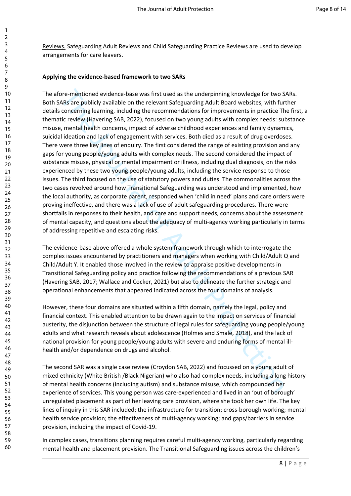Reviews. Safeguarding Adult Reviews and Child Safeguarding Practice Reviews are used to develop arrangements for care leavers.

### **Applying the evidence-based framework to two SARs**

ore-mentioned evidence-base was first used as the underpinning knowledge for two S<br>As are publicly available on the relevant safeguarding Adult Board websites, with further<br>concerning learning, including the recommendation The afore-mentioned evidence-base was first used as the underpinning knowledge for two SARs. Both SARs are publicly available on the relevant Safeguarding Adult Board websites, with further details concerning learning, including the recommendations for improvements in practice The first, a thematic review (Havering SAB, 2022), focused on two young adults with complex needs: substance misuse, mental health concerns, impact of adverse childhood experiences and family dynamics, suicidal ideation and lack of engagement with services. Both died as a result of drug overdoses. There were three key lines of enquiry. The first considered the range of existing provision and any gaps for young people/young adults with complex needs. The second considered the impact of substance misuse, physical or mental impairment or illness, including dual diagnosis, on the risks experienced by these two young people/young adults, including the service response to those issues. The third focused on the use of statutory powers and duties. The commonalities across the two cases revolved around how Transitional Safeguarding was understood and implemented, how the local authority, as corporate parent, responded when 'child in need' plans and care orders were proving ineffective, and there was a lack of use of adult safeguarding procedures. There were shortfalls in responses to their health, and care and support needs, concerns about the assessment of mental capacity, and questions about the adequacy of multi-agency working particularly in terms of addressing repetitive and escalating risks.

The evidence-base above offered a whole system framework through which to interrogate the complex issues encountered by practitioners and managers when working with Child/Adult Q and Child/Adult Y. It enabled those involved in the review to appraise positive developments in Transitional Safeguarding policy and practice following the recommendations of a previous SAR (Havering SAB, 2017; Wallace and Cocker, 2021) but also to delineate the further strategic and operational enhancements that appeared indicated across the four domains of analysis.

However, these four domains are situated within a fifth domain, namely the legal, policy and financial context. This enabled attention to be drawn again to the impact on services of financial austerity, the disjunction between the structure of legal rules for safeguarding young people/young adults and what research reveals about adolescence (Holmes and Smale, 2018), and the lack of national provision for young people/young adults with severe and enduring forms of mental illhealth and/or dependence on drugs and alcohol.

The second SAR was a single case review (Croydon SAB, 2022) and focussed on a young adult of mixed ethnicity (White British /Black Nigerian) who also had complex needs, including a long history of mental health concerns (including autism) and substance misuse, which compounded her experience of services. This young person was care-experienced and lived in an 'out of borough' unregulated placement as part of her leaving care provision, where she took her own life. The key lines of inquiry in this SAR included: the infrastructure for transition; cross-borough working; mental health service provision; the effectiveness of multi-agency working; and gaps/barriers in service provision, including the impact of Covid-19.

In complex cases, transitions planning requires careful multi-agency working, particularly regarding mental health and placement provision. The Transitional Safeguarding issues across the children's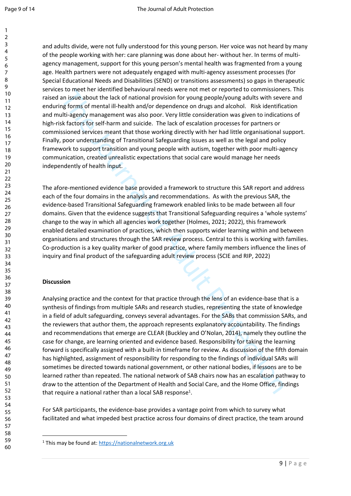and adults divide, were not fully understood for this young person. Her voice was not heard by many of the people working with her: care planning was done about her- without her. In terms of multiagency management, support for this young person's mental health was fragmented from a young age. Health partners were not adequately engaged with multi-agency assessment processes (for Special Educational Needs and Disabilities (SEND) or transitions assessments) so gaps in therapeutic services to meet her identified behavioural needs were not met or reported to commissioners. This raised an issue about the lack of national provision for young people/young adults with severe and enduring forms of mental ill-health and/or dependence on drugs and alcohol. Risk identification and multi-agency management was also poor. Very little consideration was given to indications of high-risk factors for self-harm and suicide. The lack of escalation processes for partners or commissioned services meant that those working directly with her had little organisational support. Finally, poor understanding of Transitional Safeguarding issues as well as the legal and policy framework to support transition and young people with autism, together with poor multi-agency communication, created unrealistic expectations that social care would manage her needs independently of health input.

The afore-mentioned evidence base provided a framework to structure this SAR report and address each of the four domains in the analysis and recommendations. As with the previous SAR, the evidence-based Transitional Safeguarding framework enabled links to be made between all four domains. Given that the evidence suggests that Transitional Safeguarding requires a 'whole systems' change to the way in which all agencies work together (Holmes, 2021; 2022), this framework enabled detailed examination of practices, which then supports wider learning within and between organisations and structures through the SAR review process. Central to this is working with families. Co-production is a key quality marker of good practice, where family members influence the lines of inquiry and final product of the safeguarding adult review process (SCIE and RIP, 2022)

## **Discussion**

is to meet net intentime at enablotional needs were not men or reported to commissione and is units and a pression and a mission in the Units are an the tot mental ill-health and/or dependence on drugs and alcohol. Risk id Analysing practice and the context for that practice through the lens of an evidence-base that is a synthesis of findings from multiple SARs and research studies, representing the state of knowledge in a field of adult safeguarding, conveys several advantages. For the SABs that commission SARs, and the reviewers that author them, the approach represents explanatory accountability. The findings and recommendations that emerge are CLEAR (Buckley and O'Nolan, 2014), namely they outline the case for change, are learning oriented and evidence based. Responsibility for taking the learning forward is specifically assigned with a built-in timeframe for review. As discussion of the fifth domain has highlighted, assignment of responsibility for responding to the findings of individual SARs will sometimes be directed towards national government, or other national bodies, if lessons are to be learned rather than repeated. The national network of SAB chairs now has an escalation pathway to draw to the attention of the Department of Health and Social Care, and the Home Office, findings that require a national rather than a local SAB response<sup>1</sup>.

For SAR participants, the evidence-base provides a vantage point from which to survey what facilitated and what impeded best practice across four domains of direct practice, the team around

<sup>&</sup>lt;sup>1</sup> This may be found at: <https://nationalnetwork.org.uk>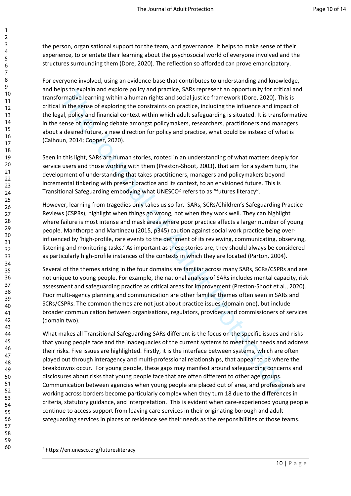the person, organisational support for the team, and governance. It helps to make sense of their experience, to orientate their learning about the psychosocial world of everyone involved and the structures surrounding them (Dore, 2020). The reflection so afforded can prove emancipatory.

For everyone involved, using an evidence-base that contributes to understanding and knowledge, and helps to explain and explore policy and practice, SARs represent an opportunity for critical and transformative learning within a human rights and social justice framework (Dore, 2020). This is critical in the sense of exploring the constraints on practice, including the influence and impact of the legal, policy and financial context within which adult safeguarding is situated. It is transformative in the sense of informing debate amongst policymakers, researchers, practitioners and managers about a desired future, a new direction for policy and practice, what could be instead of what is (Calhoun, 2014; Cooper, 2020).

Seen in this light, SARs are human stories, rooted in an understanding of what matters deeply for service users and those working with them (Preston-Shoot, 2003), that aim for a system turn, the development of understanding that takes practitioners, managers and policymakers beyond incremental tinkering with present practice and its context, to an envisioned future. This is Transitional Safeguarding embodying what UNESCO<sup>2</sup> refers to as "futures literacy".

However, learning from tragedies only takes us so far. SARs, SCRs/Children's Safeguarding Practice Reviews (CSPRs), highlight when things go wrong, not when they work well. They can highlight where failure is most intense and mask areas where poor practice affects a larger number of young people. Manthorpe and Martineau (2015, p345) caution against social work practice being overinfluenced by 'high-profile, rare events to the detriment of its reviewing, communicating, observing, listening and monitoring tasks.' As important as these stories are, they should always be considered as particularly high-profile instances of the contexts in which they are located (Parton, 2004).

Several of the themes arising in the four domains are familiar across many SARs, SCRs/CSPRs and are not unique to young people. For example, the national analysis of SARs includes mental capacity, risk assessment and safeguarding practice as critical areas for improvement (Preston-Shoot et al., 2020). Poor multi-agency planning and communication are other familiar themes often seen in SARs and SCRs/CSPRs. The common themes are not just about practice issues (domain one), but include broader communication between organisations, regulators, providers and commissioners of services (domain two).

inst to explain and explore points, and practice, sawt eppresent an opportunity or criticals<br>and the sense of exploring within a human rights and social justice framework (Dore, 2020). This the sense of exploring the const What makes all Transitional Safeguarding SARs different is the focus on the specific issues and risks that young people face and the inadequacies of the current systems to meet their needs and address their risks. Five issues are highlighted. Firstly, it is the interface between systems, which are often played out through interagency and multi-professional relationships, that appear to be where the breakdowns occur. For young people, these gaps may manifest around safeguarding concerns and disclosures about risks that young people face that are often different to other age groups. Communication between agencies when young people are placed out of area, and professionals are working across borders become particularly complex when they turn 18 due to the differences in criteria, statutory guidance, and interpretation. This is evident when care-experienced young people continue to access support from leaving care services in their originating borough and adult safeguarding services in places of residence see their needs as the responsibilities of those teams.

<sup>2</sup> https://en.unesco.org/futuresliteracy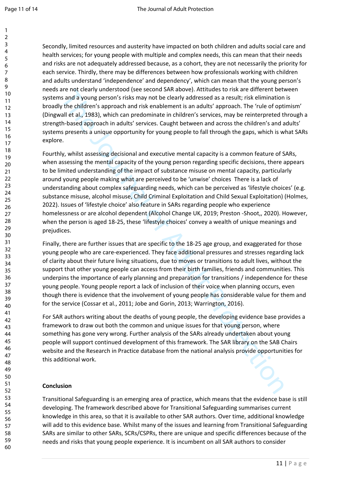Secondly, limited resources and austerity have impacted on both children and adults social care and health services; for young people with multiple and complex needs, this can mean that their needs and risks are not adequately addressed because, as a cohort, they are not necessarily the priority for each service. Thirdly, there may be differences between how professionals working with children and adults understand 'independence' and dependency', which can mean that the young person's needs are not clearly understood (see second SAR above). Attitudes to risk are different between systems and a young person's risks may not be clearly addressed as a result; risk elimination is broadly the children's approach and risk enablement is an adults' approach. The 'rule of optimism' (Dingwall et al., 1983), which can predominate in children's services, may be reinterpreted through a strength-based approach in adults' services. Caught between and across the children's and adults' systems presents a unique opportunity for young people to fall through the gaps, which is what SARs explore.

are an cear of a computer stock seen secton with a bowel, Artunes to reaso and a stand a young person's risks may not be detaily addressed as a result; risk elimination the children's approach and risk enablement is an adu Fourthly, whilst assessing decisional and executive mental capacity is a common feature of SARs, when assessing the mental capacity of the young person regarding specific decisions, there appears to be limited understanding of the impact of substance misuse on mental capacity, particularly around young people making what are perceived to be 'unwise' choices There is a lack of understanding about complex safeguarding needs, which can be perceived as 'lifestyle choices' (e.g. substance misuse, alcohol misuse, Child Criminal Exploitation and Child Sexual Exploitation) (Holmes, 2022). Issues of 'lifestyle choice' also feature in SARs regarding people who experience homelessness or are alcohol dependent (Alcohol Change UK, 2019; Preston -Shoot,, 2020). However, when the person is aged 18-25, these 'lifestyle choices' convey a wealth of unique meanings and prejudices.

Finally, there are further issues that are specific to the 18-25 age group, and exaggerated for those young people who are care-experienced. They face additional pressures and stresses regarding lack of clarity about their future living situations, due to moves or transitions to adult lives, without the support that other young people can access from their birth families, friends and communities. This underpins the importance of early planning and preparation for transitions / independence for these young people. Young people report a lack of inclusion of their voice when planning occurs, even though there is evidence that the involvement of young people has considerable value for them and for the service (Cossar et al., 2011; Jobe and Gorin, 2013; Warrington, 2016).

For SAR authors writing about the deaths of young people, the developing evidence base provides a framework to draw out both the common and unique issues for that young person, where something has gone very wrong. Further analysis of the SARs already undertaken about young people will support continued development of this framework. The SAR library on the SAB Chairs website and the Research in Practice database from the national analysis provide opportunities for this additional work.

## **Conclusion**

Transitional Safeguarding is an emerging area of practice, which means that the evidence base is still developing. The framework described above for Transitional Safeguarding summarises current knowledge in this area, so that it is available to other SAR authors. Over time, additional knowledge will add to this evidence base. Whilst many of the issues and learning from Transitional Safeguarding SARs are similar to other SARs, SCRs/CSPRs, there are unique and specific differences because of the needs and risks that young people experience. It is incumbent on all SAR authors to consider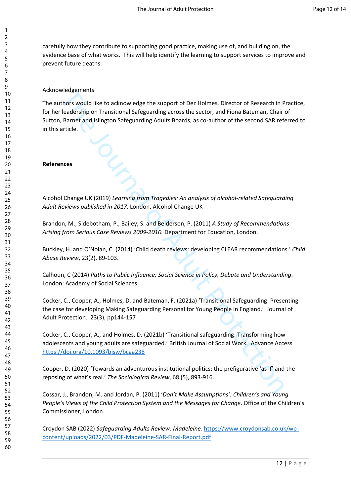carefully how they contribute to supporting good practice, making use of, and building on, the evidence base of what works. This will help identify the learning to support services to improve and prevent future deaths.

## Acknowledgements

Wedgements<br>
relations would like to acknowledge the support of Dez Holmes, Director of Research in Preadership on Transitional Safeguarding across the sector, and Fiona Bateman, Chair<br>
Ramet and Islington Safeguarding Adul The authors would like to acknowledge the support of Dez Holmes, Director of Research in Practice, for her leadership on Transitional Safeguarding across the sector, and Fiona Bateman, Chair of Sutton, Barnet and Islington Safeguarding Adults Boards, as co-author of the second SAR referred to in this article.

### **References**

Alcohol Change UK (2019) *Learning from Tragedies: An analysis of alcohol-related Safeguarding Adult Reviews published in 2017*. London, Alcohol Change UK

Brandon, M., Sidebotham, P., Bailey, S. and Belderson, P. (2011) *A Study of Recommendations Arising from Serious Case Reviews 2009-2010.* Department for Education, London.

Buckley, H. and O'Nolan, C. (2014) 'Child death reviews: developing CLEAR recommendations.' *Child Abuse Review*, 23(2), 89-103.

Calhoun, C (2014) *Paths to Public Influence: Social Science in Policy, Debate and Understanding*. London: Academy of Social Sciences.

Cocker, C., Cooper, A., Holmes, D. and Bateman, F. (2021a) 'Transitional Safeguarding: Presenting the case for developing Making Safeguarding Personal for Young People in England.' Journal of Adult Protection. 23(3), pp144-157

Cocker, C., Cooper, A., and Holmes, D. (2021b) 'Transitional safeguarding: Transforming how adolescents and young adults are safeguarded.' British Journal of Social Work. Advance Access https://doi.org/10.1093/bjsw/bcaa238

Cooper, D. (2020) 'Towards an adventurous institutional politics: the prefigurative 'as if' and the reposing of what's real.' *The Sociological Review*, 68 (5), 893-916.

Cossar, J., Brandon, M. and Jordan, P. (2011) '*Don't Make Assumptions': Children's and Young People's Views of the Child Protection System and the Messages for Change*. Office of the Children's Commissioner, London.

Croydon SAB (2022) *Safeguarding Adults Review: Madeleine.* [https://www.croydonsab.co.uk/wp](https://www.croydonsab.co.uk/wp-content/uploads/2022/03/PDF-Madeleine-SAR-Final-Report.pdf)[content/uploads/2022/03/PDF-Madeleine-SAR-Final-Report.pdf](https://www.croydonsab.co.uk/wp-content/uploads/2022/03/PDF-Madeleine-SAR-Final-Report.pdf)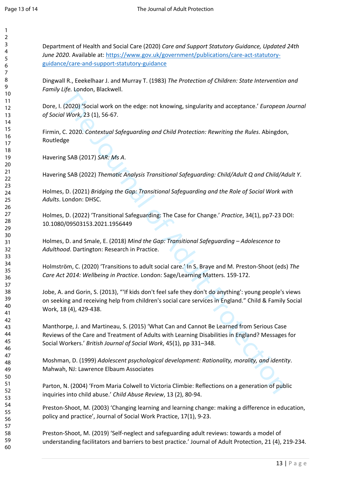Department of Health and Social Care (2020) *Care and Support Statutory Guidance, Updated 24th June 2020*. Available at: [https://www.gov.uk/government/publications/care-act-statutory](https://www.gov.uk/government/publications/care-act-statutory-guidance/care-and-support-statutory-guidance)[guidance/care-and-support-statutory-guidance](https://www.gov.uk/government/publications/care-act-statutory-guidance/care-and-support-statutory-guidance)

Dingwall R., Eeekelhaar J. and Murray T. (1983) *The Protection of Children: State Intervention and Family Life.* London, Blackwell.

Dore, I. (2020) 'Social work on the edge: not knowing, singularity and acceptance.' *European Journal of Social Work*, 23 (1), 56-67.

Firmin, C. 2020. *Contextual Safeguarding and Child Protection: Rewriting the Rules*. Abingdon, Routledge

Havering SAB (2017) *SAR: Ms A*.

Havering SAB (2022) *Thematic Analysis Transitional Safeguarding: Child/Adult Q and Child/Adult Y*.

Holmes, D. (2021) *Bridging the Gap: Transitional Safeguarding and the Role of Social Work with Adults*. London: DHSC.

Holmes, D. (2022) 'Transitional Safeguarding: The Case for Change.' *Practice*, 34(1), pp7-23 DOI: 10.1080/09503153.2021.1956449

Holmes, D. and Smale, E. (2018) *Mind the Gap: Transitional Safeguarding – Adolescence to Adulthood*. Dartington: Research in Practice.

Holmström, C. (2020) 'Transitions to adult social care.' In S. Braye and M. Preston-Shoot (eds) *The Care Act 2014: Wellbeing in Practice*. London: Sage/Learning Matters. 159-172.

Life. London, Biackwell.<br>
1.(2020) "Social work on the edge: not knowing, singularity and acceptance." European<br>
of Work, 23 (1), 56-67.<br>
C. 2020. Contextual Safeguarding and Child Protection: Rewriting the Rules. Abingdon Jobe, A. and Gorin, S. (2013), "'If kids don't feel safe they don't do anything': young people's views on seeking and receiving help from children's social care services in England." Child & Family Social Work, 18 (4), 429-438.

Manthorpe, J. and Martineau, S. (2015) 'What Can and Cannot Be Learned from Serious Case Reviews of the Care and Treatment of Adults with Learning Disabilities in England? Messages for Social Workers.' *British Journal of Social Work*, 45(1), pp 331–348.

Moshman, D. (1999) *Adolescent psychological development: Rationality, morality, and identity*. Mahwah, NJ: Lawrence Elbaum Associates

Parton, N. (2004) 'From Maria Colwell to Victoria Climbie: Reflections on a generation of public inquiries into child abuse.' *Child Abuse Review*, 13 (2), 80-94.

Preston-Shoot, M. (2003) 'Changing learning and learning change: making a difference in education, policy and practice', Journal of Social Work Practice, 17(1), 9-23.

Preston-Shoot, M. (2019) 'Self-neglect and safeguarding adult reviews: towards a model of understanding facilitators and barriers to best practice.' Journal of Adult Protection, 21 (4), 219-234.